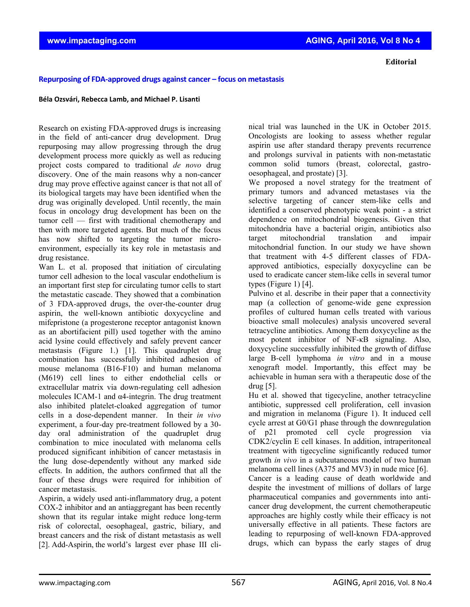## **Repurposing of FDA‐approved drugs against cancer – focus on metastasis**

## **Béla Ozsvári, Rebecca Lamb, and Michael P. Lisanti**

Research on existing FDA-approved drugs is increasing in the field of anti-cancer drug development. Drug repurposing may allow progressing through the drug development process more quickly as well as reducing project costs compared to traditional *de novo* drug discovery. One of the main reasons why a non-cancer drug may prove effective against cancer is that not all of its biological targets may have been identified when the drug was originally developed. Until recently, the main focus in oncology drug development has been on the tumor cell — first with traditional chemotherapy and then with more targeted agents. But much of the focus has now shifted to targeting the tumor microenvironment, especially its key role in metastasis and drug resistance.

Wan L, et al. proposed that initiation of circulating tumor cell adhesion to the local vascular endothelium is an important first step for circulating tumor cells to start the metastatic cascade. They showed that a combination of 3 FDA-approved drugs, the over-the-counter drug aspirin, the well-known antibiotic doxycycline and mifepristone (a progesterone receptor antagonist known as an abortifacient pill) used together with the amino acid lysine could effectively and safely prevent cancer metastasis (Figure 1.) [1]. This quadruplet drug combination has successfully inhibited adhesion of mouse melanoma (B16-F10) and human melanoma (M619) cell lines to either endothelial cells or extracellular matrix via down-regulating cell adhesion molecules ICAM-1 and  $\alpha$ 4-integrin. The drug treatment also inhibited platelet-cloaked aggregation of tumor cells in a dose-dependent manner. In their *in vivo* experiment, a four-day pre-treatment followed by a 30 day oral administration of the quadruplet drug combination to mice inoculated with melanoma cells produced significant inhibition of cancer metastasis in the lung dose-dependently without any marked side effects. In addition, the authors confirmed that all the four of these drugs were required for inhibition of cancer metastasis.

Aspirin, a widely used anti-inflammatory drug, a potent COX-2 inhibitor and an antiaggregant has been recently shown that its regular intake might reduce long-term risk of colorectal, oesophageal, gastric, biliary, and breast cancers and the risk of distant metastasis as well [2]. Add-Aspirin, the world's largest ever phase III clinical trial was launched in the UK in October 2015. Oncologists are looking to assess whether regular aspirin use after standard therapy prevents recurrence and prolongs survival in patients with non-metastatic common solid tumors (breast, colorectal, gastrooesophageal, and prostate) [3].

We proposed a novel strategy for the treatment of primary tumors and advanced metastases via the selective targeting of cancer stem-like cells and identified a conserved phenotypic weak point - a strict dependence on mitochondrial biogenesis. Given that mitochondria have a bacterial origin, antibiotics also target mitochondrial translation and impair mitochondrial function. In our study we have shown that treatment with 4-5 different classes of FDAapproved antibiotics, especially doxycycline can be used to eradicate cancer stem-like cells in several tumor types (Figure 1) [4].

Pulvino et al. describe in their paper that a connectivity map (a collection of genome-wide gene expression profiles of cultured human cells treated with various bioactive small molecules) analysis uncovered several tetracycline antibiotics. Among them doxycycline as the most potent inhibitor of NF-κB signaling. Also, doxycycline successfully inhibited the growth of diffuse large B-cell lymphoma *in vitro* and in a mouse xenograft model. Importantly, this effect may be achievable in human sera with a therapeutic dose of the drug [5].

Hu et al. showed that tigecycline, another tetracycline antibiotic, suppressed cell proliferation, cell invasion and migration in melanoma (Figure 1). It induced cell cycle arrest at G0/G1 phase through the downregulation of p21 promoted cell cycle progression via CDK2/cyclin E cell kinases. In addition, intraperitoneal treatment with tigecycline significantly reduced tumor growth *in vivo* in a subcutaneous model of two human melanoma cell lines (A375 and MV3) in nude mice [6]. Cancer is a leading cause of death worldwide and despite the investment of millions of dollars of large pharmaceutical companies and governments into anticancer drug development, the current chemotherapeutic approaches are highly costly while their efficacy is not universally effective in all patients. These factors are leading to repurposing of well-known FDA-approved drugs, which can bypass the early stages of drug